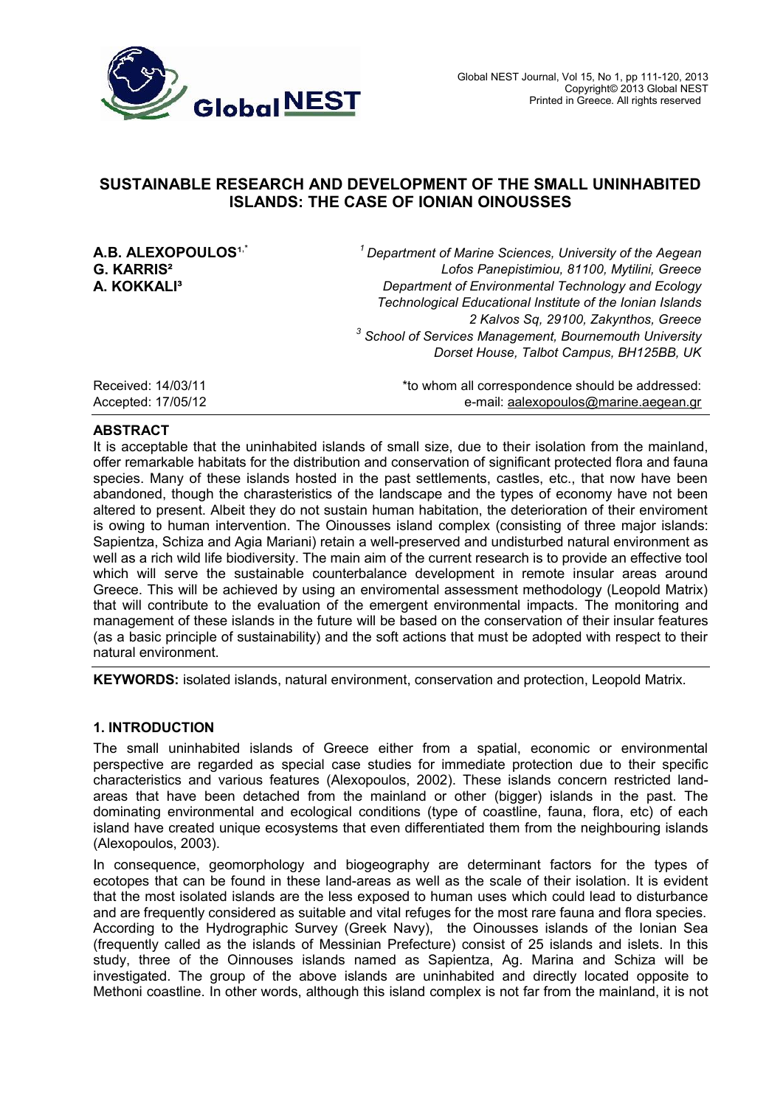

# **SUSTAINABLE RESEARCH AND DEVELOPMENT OF THE SMALL UNINHABITED ISLANDS: THE CASE OF IONIAN OINOUSSES**

**A.B. ALEXOPOULOS<sup>1,\*</sup>**<br>G. KARRIS<sup>2</sup>

,\* *<sup>1</sup> Department of Marine Sciences, University of the Aegean* **G. KARRIS²** *Lofos Panepistimiou, 81100, Mytilini, Greece* **Department of Environmental Technology and Ecology** *Technological Educational Institute of the Ionian Islands 2 Kalvos Sq, 29100, Zakynthos, Greece 3 School of Services Management, Bournemouth University Dorset House, Talbot Campus, BH125BB, UK*

| Received: 14/03/11 | *to whom all correspondence should be addressed: |
|--------------------|--------------------------------------------------|
| Accepted: 17/05/12 | e-mail: aalexopoulos@marine.aegean.gr            |

#### **ABSTRACT**

It is acceptable that the uninhabited islands of small size, due to their isolation from the mainland, offer remarkable habitats for the distribution and conservation of significant protected flora and fauna species. Many of these islands hosted in the past settlements, castles, etc., that now have been abandoned, though the charasteristics of the landscape and the types of economy have not been altered to present. Albeit they do not sustain human habitation, the deterioration of their enviroment is owing to human intervention. The Oinousses island complex (consisting of three major islands: Sapientza, Schiza and Agia Mariani) retain a well-preserved and undisturbed natural environment as well as a rich wild life biodiversity. The main aim of the current research is to provide an effective tool which will serve the sustainable counterbalance development in remote insular areas around Greece. This will be achieved by using an enviromental assessment methodology (Leopold Matrix) that will contribute to the evaluation of the emergent environmental impacts. The monitoring and management of these islands in the future will be based on the conservation of their insular features (as a basic principle of sustainability) and the soft actions that must be adopted with respect to their natural environment.

**KEYWORDS:** isolated islands, natural environment, conservation and protection, Leopold Matrix.

### **1. INTRODUCTION**

The small uninhabited islands of Greece either from a spatial, economic or environmental perspective are regarded as special case studies for immediate protection due to their specific characteristics and various features (Alexopoulos, 2002). These islands concern restricted landareas that have been detached from the mainland or other (bigger) islands in the past. The dominating environmental and ecological conditions (type of coastline, fauna, flora, etc) of each island have created unique ecosystems that even differentiated them from the neighbouring islands (Alexopoulos, 2003).

In consequence, geomorphology and biogeography are determinant factors for the types of ecotopes that can be found in these land-areas as well as the scale of their isolation. It is evident that the most isolated islands are the less exposed to human uses which could lead to disturbance and are frequently considered as suitable and vital refuges for the most rare fauna and flora species. According to the Hydrographic Survey (Greek Navy), the Oinousses islands of the Ionian Sea (frequently called as the islands of Messinian Prefecture) consist of 25 islands and islets. In this study, three of the Oinnouses islands named as Sapientza, Ag. Marina and Schiza will be investigated. The group of the above islands are uninhabited and directly located opposite to Methoni coastline. In other words, although this island complex is not far from the mainland, it is not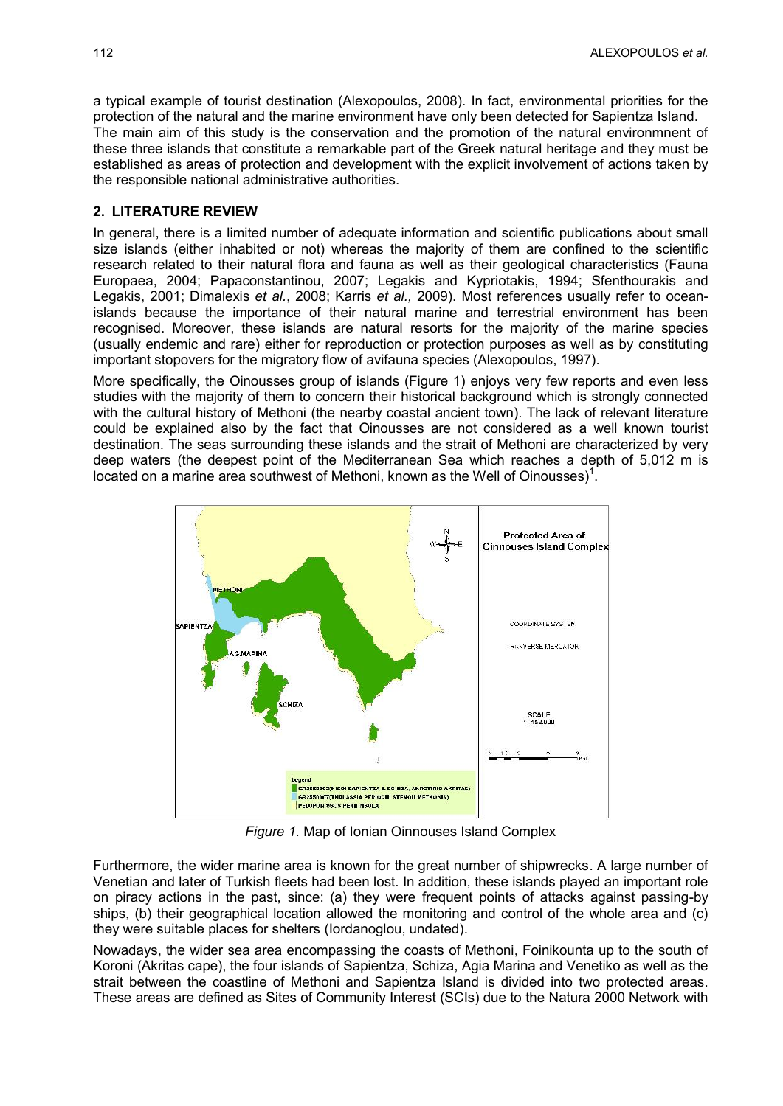a typical example of tourist destination (Alexopoulos, 2008). In fact, environmental priorities for the protection of the natural and the marine environment have only been detected for Sapientza Island. The main aim of this study is the conservation and the promotion of the natural environmnent of these three islands that constitute a remarkable part of the Greek natural heritage and they must be established as areas of protection and development with the explicit involvement of actions taken by the responsible national administrative authorities.

#### **2. LITERATURE REVIEW**

In general, there is a limited number of adequate information and scientific publications about small size islands (either inhabited or not) whereas the majority of them are confined to the scientific research related to their natural flora and fauna as well as their geological characteristics (Fauna Europaea, 2004; Papaconstantinou, 2007; Legakis and Kypriotakis, 1994; Sfenthourakis and Legakis, 2001; Dimalexis *et al.*, 2008; Karris *et al.,* 2009). Most references usually refer to oceanislands because the importance of their natural marine and terrestrial environment has been recognised. Moreover, these islands are natural resorts for the majority of the marine species (usually endemic and rare) either for reproduction or protection purposes as well as by constituting important stopovers for the migratory flow of avifauna species (Alexopoulos, 1997).

More specifically, the Oinousses group of islands (Figure 1) enjoys very few reports and even less studies with the majority of them to concern their historical background which is strongly connected with the cultural history of Methoni (the nearby coastal ancient town). The lack of relevant literature could be explained also by the fact that Oinousses are not considered as a well known tourist destination. The seas surrounding these islands and the strait of Methoni are characterized by very deep waters (the deepest point of the Mediterranean Sea which reaches a depth of 5,012 m is located on a marine area southwest of Methoni, known as the Well of Oinousses)<sup>1</sup>.



*Figure 1.* Map of Ionian Oinnouses Island Complex

Furthermore, the wider marine area is known for the great number of shipwrecks. A large number of Venetian and later of Turkish fleets had been lost. In addition, these islands played an important role on piracy actions in the past, since: (a) they were frequent points of attacks against passing-by ships, (b) their geographical location allowed the monitoring and control of the whole area and (c) they were suitable places for shelters (Iordanoglou, undated).

Nowadays, the wider sea area encompassing the coasts of Methoni, Foinikounta up to the south of Koroni (Akritas cape), the four islands of Sapientza, Schiza, Agia Marina and Venetiko as well as the strait between the coastline of Methoni and Sapientza Island is divided into two protected areas. These areas are defined as Sites of Community Interest (SCIs) due to the Natura 2000 Network with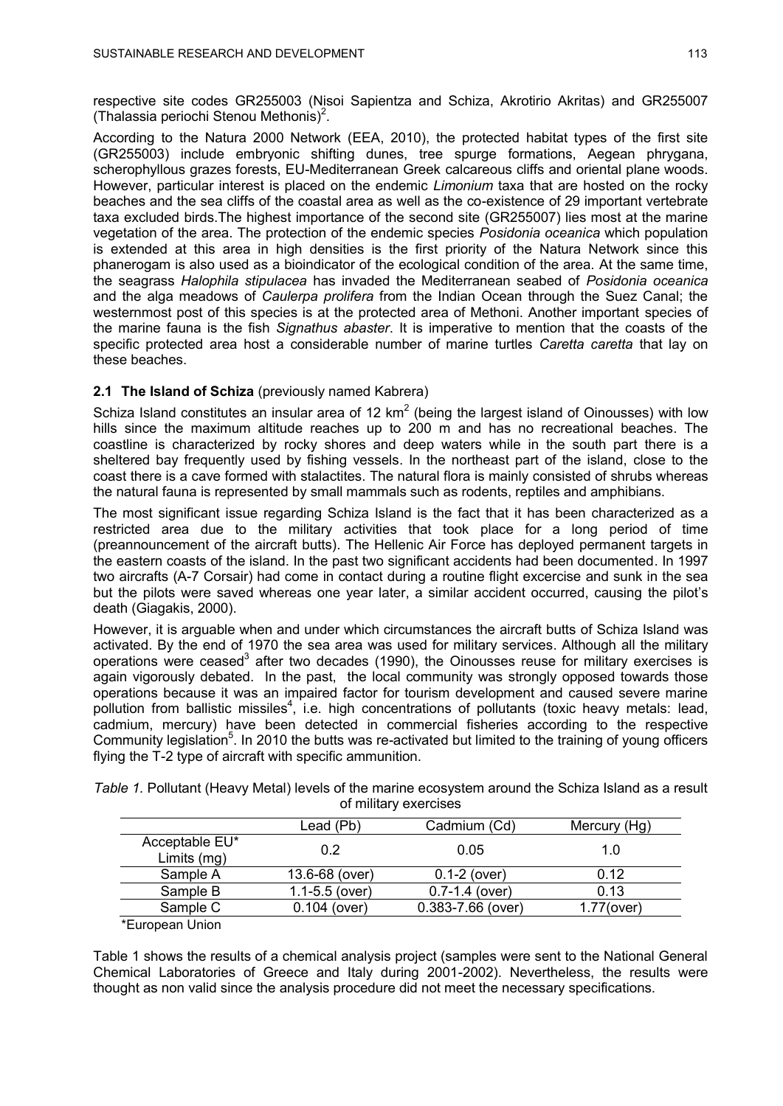respective site codes GR255003 (Nisoi Sapientza and Schiza, Akrotirio Akritas) and GR255007 (Thalassia periochi Stenou Methonis)<sup>2</sup>.

According to the Natura 2000 Network (EEA, 2010), the protected habitat types of the first site (GR255003) include embryonic shifting dunes, tree spurge formations, Aegean phrygana, scherophyllous grazes forests, EU-Mediterranean Greek calcareous cliffs and oriental plane woods. However, particular interest is placed on the endemic *Limonium* taxa that are hosted on the rocky beaches and the sea cliffs of the coastal area as well as the co-existence of 29 important vertebrate taxa excluded birds.The highest importance of the second site (GR255007) lies most at the marine vegetation of the area. The protection of the endemic species *Posidonia oceanica* which population is extended at this area in high densities is the first priority of the Natura Network since this phanerogam is also used as a bioindicator of the ecological condition of the area. At the same time, the seagrass *Halophila stipulacea* has invaded the Mediterranean seabed of *Posidonia oceanica* and the alga meadows of *Caulerpa prolifera* from the Indian Ocean through the Suez Canal; the westernmost post of this species is at the protected area of Methoni. Another important species of the marine fauna is the fish *Signathus abaster*. It is imperative to mention that the coasts of the specific protected area host a considerable number of marine turtles *Caretta caretta* that lay on these beaches.

## **2.1 The Island of Schiza** (previously named Kabrera)

Schiza Island constitutes an insular area of 12  $km^2$  (being the largest island of Oinousses) with low hills since the maximum altitude reaches up to 200 m and has no recreational beaches. The coastline is characterized by rocky shores and deep waters while in the south part there is a sheltered bay frequently used by fishing vessels. In the northeast part of the island, close to the coast there is a cave formed with stalactites. The natural flora is mainly consisted of shrubs whereas the natural fauna is represented by small mammals such as rodents, reptiles and amphibians.

The most significant issue regarding Schiza Island is the fact that it has been characterized as a restricted area due to the military activities that took place for a long period of time (preannouncement of the aircraft butts). The Hellenic Air Force has deployed permanent targets in the eastern coasts of the island. In the past two significant accidents had been documented. In 1997 two aircrafts (A-7 Corsair) had come in contact during a routine flight excercise and sunk in the sea but the pilots were saved whereas one year later, a similar accident occurred, causing the pilot's death (Giagakis, 2000).

However, it is arguable when and under which circumstances the aircraft butts of Schiza Island was activated. By the end of 1970 the sea area was used for military services. Although all the military operations were ceased<sup>3</sup> after two decades (1990), the Oinousses reuse for military exercises is again vigorously debated. In the past, the local community was strongly opposed towards those operations because it was an impaired factor for tourism development and caused severe marine pollution from ballistic missiles<sup>4</sup>, i.e. high concentrations of pollutants (toxic heavy metals: lead, cadmium, mercury) have been detected in commercial fisheries according to the respective Community legislation<sup>5</sup>. In 2010 the butts was re-activated but limited to the training of young officers flying the T-2 type of aircraft with specific ammunition.

*Table 1.* Pollutant (Heavy Metal) levels of the marine ecosystem around the Schiza Island as a result of military exercises

|                               | Lead (Pb)          | Cadmium (Cd)       | Mercury (Hg)  |
|-------------------------------|--------------------|--------------------|---------------|
| Acceptable EU*<br>Limits (mg) | 0.2                | 0.05               | 1.0           |
| Sample A                      | 13.6-68 (over)     | $0.1 - 2$ (over)   | 0.12          |
| Sample B                      | $1.1 - 5.5$ (over) | $0.7 - 1.4$ (over) | 0.13          |
| Sample C                      | $0.104$ (over)     | 0.383-7.66 (over)  | $1.77$ (over) |
| *Europoon Union               |                    |                    |               |

'European Union

Table 1 shows the results of a chemical analysis project (samples were sent to the National General Chemical Laboratories of Greece and Italy during 2001-2002). Nevertheless, the results were thought as non valid since the analysis procedure did not meet the necessary specifications.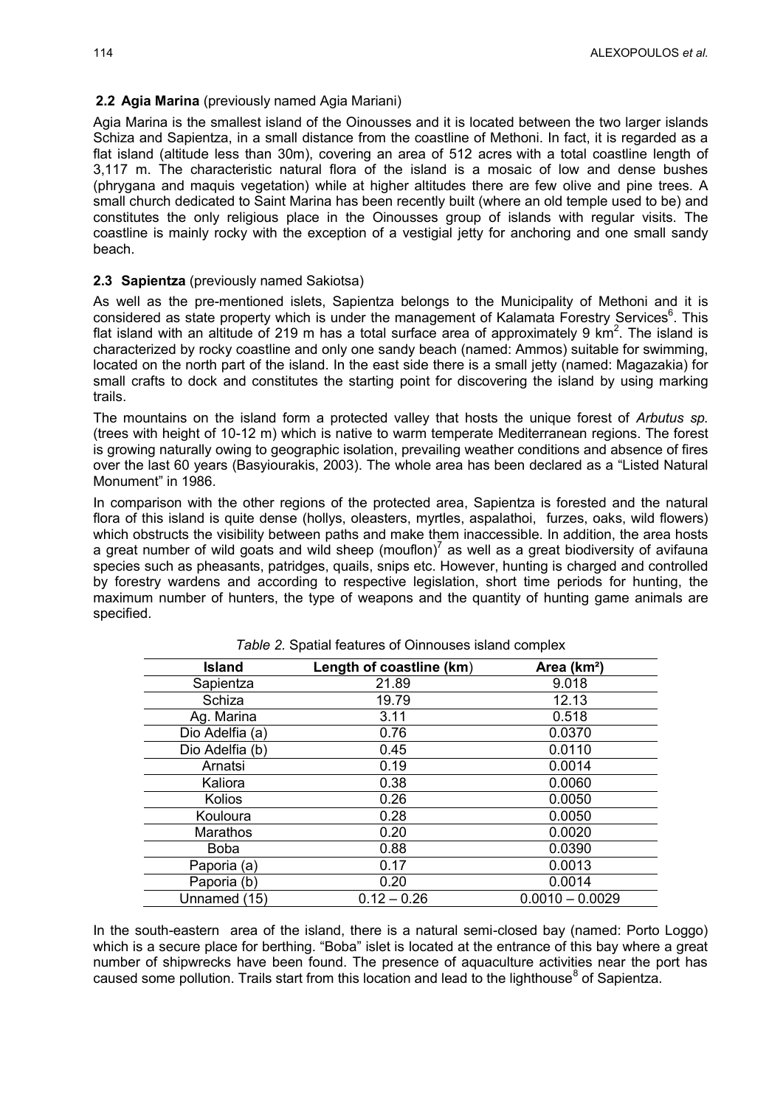#### **2.2 Agia Marina** (previously named Agia Mariani)

Agia Marina is the smallest island of the Oinousses and it is located between the two larger islands Schiza and Sapientza, in a small distance from the coastline of Methoni. In fact, it is regarded as a flat island (altitude less than 30m), covering an area of 512 acres with a total coastline length of 3,117 m. The characteristic natural flora of the island is a mosaic of low and dense bushes (phrygana and maquis vegetation) while at higher altitudes there are few olive and pine trees. A small church dedicated to Saint Marina has been recently built (where an old temple used to be) and constitutes the only religious place in the Oinousses group of islands with regular visits. The coastline is mainly rocky with the exception of a vestigial jetty for anchoring and one small sandy beach.

#### **2.3 Sapientza** (previously named Sakiotsa)

As well as the pre-mentioned islets, Sapientza belongs to the Municipality of Methoni and it is considered as state property which is under the management of Kalamata Forestry Services<sup>6</sup>. This flat island with an altitude of 219 m has a total surface area of approximately 9  $km^2$ . The island is characterized by rocky coastline and only one sandy beach (named: Ammos) suitable for swimming, located on the north part of the island. In the east side there is a small jetty (named: Magazakia) for small crafts to dock and constitutes the starting point for discovering the island by using marking trails.

The mountains on the island form a protected valley that hosts the unique forest of *Arbutus sp.* (trees with height of 10-12 m) which is native to warm temperate Mediterranean regions. The forest is growing naturally owing to geographic isolation, prevailing weather conditions and absence of fires over the last 60 years (Basyiourakis, 2003). The whole area has been declared as a "Listed Natural Monument" in 1986.

In comparison with the other regions of the protected area, Sapientza is forested and the natural flora of this island is quite dense (hollys, oleasters, myrtles, aspalathoi, furzes, oaks, wild flowers) which obstructs the visibility between paths and make them inaccessible. In addition, the area hosts a great number of wild goats and wild sheep (mouflon)<sup>7</sup> as well as a great biodiversity of avifauna species such as pheasants, patridges, quails, snips etc. However, hunting is charged and controlled by forestry wardens and according to respective legislation, short time periods for hunting, the maximum number of hunters, the type of weapons and the quantity of hunting game animals are specified.

| <b>Island</b>   | Length of coastline (km) | Area (km <sup>2</sup> ) |
|-----------------|--------------------------|-------------------------|
| Sapientza       | 21.89                    | 9.018                   |
| Schiza          | 19.79                    | 12.13                   |
| Ag. Marina      | 3.11                     | 0.518                   |
| Dio Adelfia (a) | 0.76                     | 0.0370                  |
| Dio Adelfia (b) | 0.45                     | 0.0110                  |
| Arnatsi         | 0.19                     | 0.0014                  |
| Kaliora         | 0.38                     | 0.0060                  |
| Kolios          | 0.26                     | 0.0050                  |
| Kouloura        | 0.28                     | 0.0050                  |
| Marathos        | 0.20                     | 0.0020                  |
| <b>Boba</b>     | 0.88                     | 0.0390                  |
| Paporia (a)     | 0.17                     | 0.0013                  |
| Paporia (b)     | 0.20                     | 0.0014                  |
| Unnamed (15)    | $0.12 - 0.26$            | $0.0010 - 0.0029$       |

*Table 2.* Spatial features of Oinnouses island complex

In the south-eastern area of the island, there is a natural semi-closed bay (named: Porto Loggo) which is a secure place for berthing. "Boba" islet is located at the entrance of this bay where a great number of shipwrecks have been found. The presence of aquaculture activities near the port has caused some pollution. Trails start from this location and lead to the lighthouse<sup>8</sup> of Sapientza.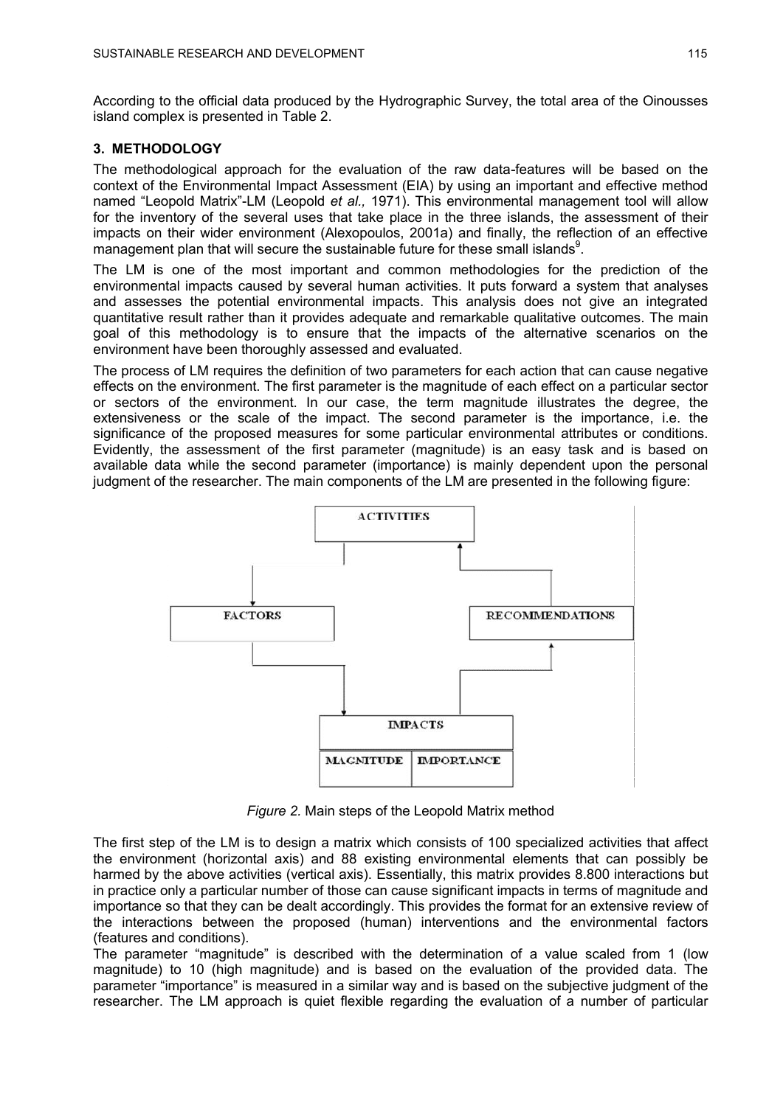According to the official data produced by the Hydrographic Survey, the total area of the Oinousses island complex is presented in Table 2.

## **3. METHODOLOGY**

The methodological approach for the evaluation of the raw data-features will be based on the context of the Environmental Impact Assessment (EIA) by using an important and effective method named "Leopold Matrix"-LM (Leopold *et al.,* 1971). This environmental management tool will allow for the inventory of the several uses that take place in the three islands, the assessment of their impacts on their wider environment (Alexopoulos, 2001a) and finally, the reflection of an effective management plan that will secure the sustainable future for these small islands<sup>9</sup>.

The LM is one of the most important and common methodologies for the prediction of the environmental impacts caused by several human activities. It puts forward a system that analyses and assesses the potential environmental impacts. This analysis does not give an integrated quantitative result rather than it provides adequate and remarkable qualitative outcomes. The main goal of this methodology is to ensure that the impacts of the alternative scenarios on the environment have been thoroughly assessed and evaluated.

The process of LM requires the definition of two parameters for each action that can cause negative effects on the environment. The first parameter is the magnitude of each effect on a particular sector or sectors of the environment. In our case, the term magnitude illustrates the degree, the extensiveness or the scale of the impact. The second parameter is the importance, i.e. the significance of the proposed measures for some particular environmental attributes or conditions. Evidently, the assessment of the first parameter (magnitude) is an easy task and is based on available data while the second parameter (importance) is mainly dependent upon the personal judgment of the researcher. The main components of the LM are presented in the following figure:



*Figure 2.* Main steps of the Leopold Matrix method

The first step of the LM is to design a matrix which consists of 100 specialized activities that affect the environment (horizontal axis) and 88 existing environmental elements that can possibly be harmed by the above activities (vertical axis). Essentially, this matrix provides 8.800 interactions but in practice only a particular number of those can cause significant impacts in terms of magnitude and importance so that they can be dealt accordingly. This provides the format for an extensive review of the interactions between the proposed (human) interventions and the environmental factors (features and conditions).

The parameter "magnitude" is described with the determination of a value scaled from 1 (low magnitude) to 10 (high magnitude) and is based on the evaluation of the provided data. The parameter "importance" is measured in a similar way and is based on the subjective judgment of the researcher. The LM approach is quiet flexible regarding the evaluation of a number of particular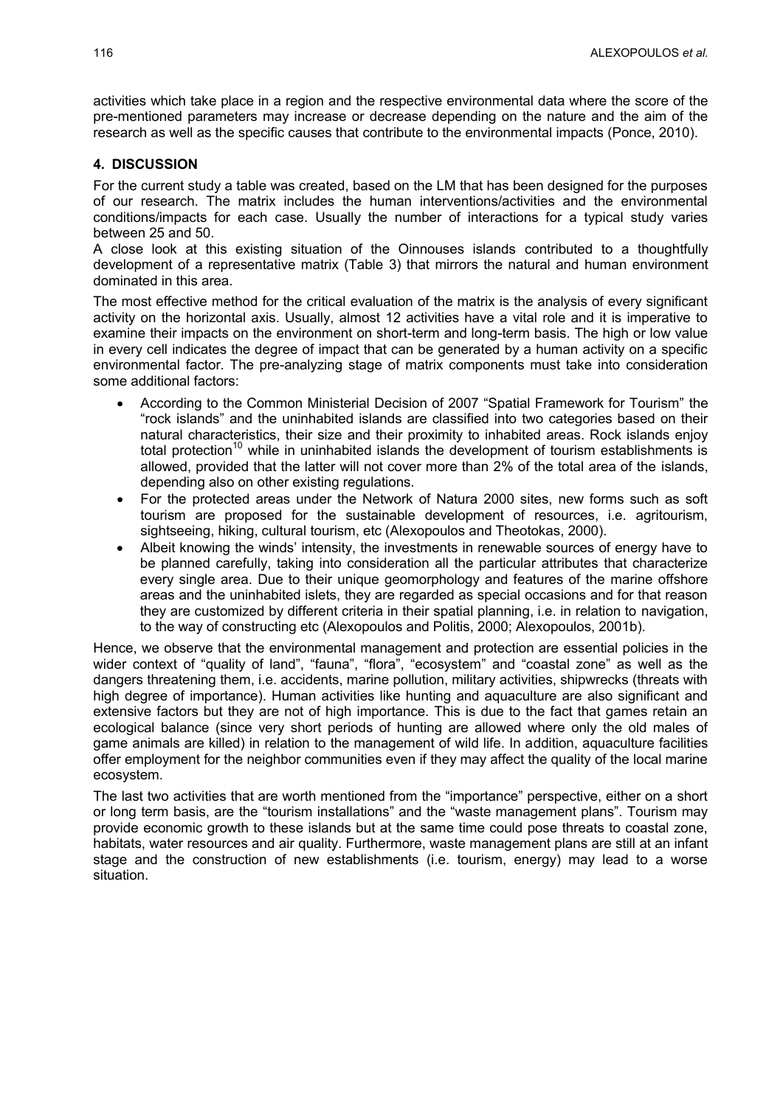activities which take place in a region and the respective environmental data where the score of the pre-mentioned parameters may increase or decrease depending on the nature and the aim of the research as well as the specific causes that contribute to the environmental impacts (Ponce, 2010).

### **4. DISCUSSION**

For the current study a table was created, based on the LM that has been designed for the purposes of our research. The matrix includes the human interventions/activities and the environmental conditions/impacts for each case. Usually the number of interactions for a typical study varies between 25 and 50.

A close look at this existing situation of the Oinnouses islands contributed to a thoughtfully development of a representative matrix (Table 3) that mirrors the natural and human environment dominated in this area.

The most effective method for the critical evaluation of the matrix is the analysis of every significant activity on the horizontal axis. Usually, almost 12 activities have a vital role and it is imperative to examine their impacts on the environment on short-term and long-term basis. The high or low value in every cell indicates the degree of impact that can be generated by a human activity on a specific environmental factor. The pre-analyzing stage of matrix components must take into consideration some additional factors:

- According to the Common Ministerial Decision of 2007 "Spatial Framework for Tourism" the "rock islands" and the uninhabited islands are classified into two categories based on their natural characteristics, their size and their proximity to inhabited areas. Rock islands enjoy total protection<sup>10</sup> while in uninhabited islands the development of tourism establishments is allowed, provided that the latter will not cover more than 2% of the total area of the islands, depending also on other existing regulations.
- For the protected areas under the Network of Natura 2000 sites, new forms such as soft tourism are proposed for the sustainable development of resources, i.e. agritourism, sightseeing, hiking, cultural tourism, etc (Alexopoulos and Theotokas, 2000).
- Albeit knowing the winds' intensity, the investments in renewable sources of energy have to be planned carefully, taking into consideration all the particular attributes that characterize every single area. Due to their unique geomorphology and features of the marine offshore areas and the uninhabited islets, they are regarded as special occasions and for that reason they are customized by different criteria in their spatial planning, i.e. in relation to navigation, to the way of constructing etc (Alexopoulos and Politis, 2000; Alexopoulos, 2001b).

Hence, we observe that the environmental management and protection are essential policies in the wider context of "quality of land", "fauna", "flora", "ecosystem" and "coastal zone" as well as the dangers threatening them, i.e. accidents, marine pollution, military activities, shipwrecks (threats with high degree of importance). Human activities like hunting and aquaculture are also significant and extensive factors but they are not of high importance. This is due to the fact that games retain an ecological balance (since very short periods of hunting are allowed where only the old males of game animals are killed) in relation to the management of wild life. In addition, aquaculture facilities offer employment for the neighbor communities even if they may affect the quality of the local marine ecosystem.

The last two activities that are worth mentioned from the "importance" perspective, either on a short or long term basis, are the "tourism installations" and the "waste management plans". Tourism may provide economic growth to these islands but at the same time could pose threats to coastal zone, habitats, water resources and air quality. Furthermore, waste management plans are still at an infant stage and the construction of new establishments (i.e. tourism, energy) may lead to a worse situation.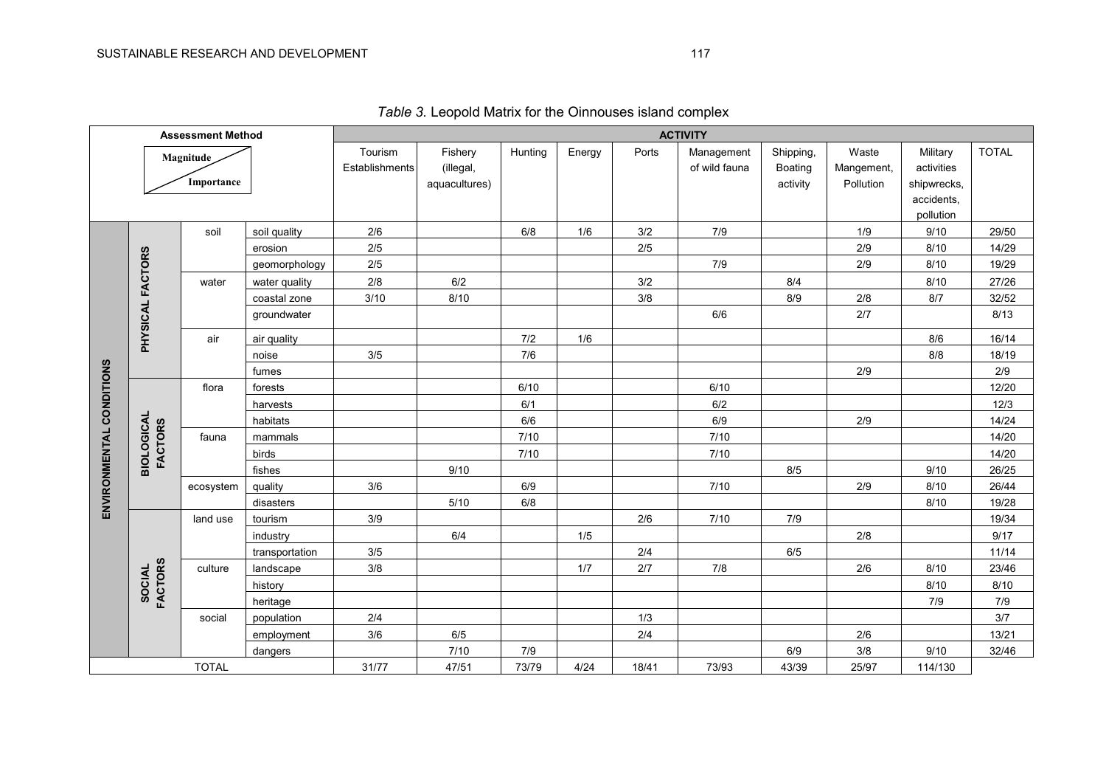| <b>Assessment Method</b> |                               | <b>ACTIVITY</b> |                |           |               |         |        |               |                |            |            |             |              |
|--------------------------|-------------------------------|-----------------|----------------|-----------|---------------|---------|--------|---------------|----------------|------------|------------|-------------|--------------|
|                          |                               | Magnitude       |                | Tourism   | Fishery       | Hunting | Energy | Ports         | Management     | Shipping,  | Waste      | Military    | <b>TOTAL</b> |
|                          |                               |                 | Establishments | (illegal, |               |         |        | of wild fauna | <b>Boating</b> | Mangement, | activities |             |              |
|                          |                               | Importance      |                |           | aquacultures) |         |        |               |                | activity   | Pollution  | shipwrecks, |              |
|                          |                               |                 |                |           |               |         |        |               |                |            |            | accidents,  |              |
|                          |                               |                 |                |           |               |         |        |               |                |            |            | pollution   |              |
|                          |                               | soil            | soil quality   | 2/6       |               | 6/8     | 1/6    | 3/2           | 7/9            |            | 1/9        | 9/10        | 29/50        |
|                          |                               |                 | erosion        | 2/5       |               |         |        | $2/5$         |                |            | 2/9        | 8/10        | 14/29        |
|                          |                               |                 | geomorphology  | $2/5$     |               |         |        |               | 7/9            |            | 2/9        | 8/10        | 19/29        |
|                          |                               | water           | water quality  | $2/8$     | 6/2           |         |        | 3/2           |                | 8/4        |            | 8/10        | 27/26        |
|                          |                               |                 | coastal zone   | 3/10      | 8/10          |         |        | $3/8$         |                | 8/9        | $2/8$      | 8/7         | 32/52        |
|                          | PHYSICAL FACTORS              |                 | groundwater    |           |               |         |        |               | 6/6            |            | 2/7        |             | 8/13         |
|                          |                               | air             | air quality    |           |               | 7/2     | 1/6    |               |                |            |            | 8/6         | 16/14        |
|                          |                               |                 | noise          | 3/5       |               | 7/6     |        |               |                |            |            | 8/8         | 18/19        |
|                          |                               |                 | fumes          |           |               |         |        |               |                |            | 2/9        |             | 2/9          |
| ENVIRONMENTAL CONDITIONS |                               | flora           | forests        |           |               | 6/10    |        |               | 6/10           |            |            |             | 12/20        |
|                          |                               |                 | harvests       |           |               | 6/1     |        |               | 6/2            |            |            |             | 12/3         |
|                          |                               |                 | habitats       |           |               | 6/6     |        |               | 6/9            |            | 2/9        |             | 14/24        |
|                          | <b>BIOLOGICAL<br/>FACTORS</b> | fauna           | mammals        |           |               | $7/10$  |        |               | 7/10           |            |            |             | 14/20        |
|                          |                               |                 | birds          |           |               | 7/10    |        |               | 7/10           |            |            |             | 14/20        |
|                          |                               |                 | fishes         |           | 9/10          |         |        |               |                | 8/5        |            | 9/10        | 26/25        |
|                          |                               | ecosystem       | quality        | 3/6       |               | 6/9     |        |               | 7/10           |            | 2/9        | 8/10        | 26/44        |
|                          |                               |                 | disasters      |           | $5/10$        | $6/8$   |        |               |                |            |            | 8/10        | 19/28        |
|                          |                               | land use        | tourism        | 3/9       |               |         |        | $2/6$         | 7/10           | $7/9$      |            |             | 19/34        |
|                          |                               |                 | industry       |           | 6/4           |         | 1/5    |               |                |            | 2/8        |             | 9/17         |
|                          |                               |                 | transportation | $3/5$     |               |         |        | $2/4$         |                | 6/5        |            |             | 11/14        |
|                          | <b>FACTORS</b>                | culture         | landscape      | 3/8       |               |         | 1/7    | 2/7           | 7/8            |            | 2/6        | 8/10        | 23/46        |
|                          | SOCIAL                        |                 | history        |           |               |         |        |               |                |            |            | 8/10        | 8/10         |
|                          |                               |                 | heritage       |           |               |         |        |               |                |            |            | 7/9         | 7/9          |
|                          |                               | social          | population     | 2/4       |               |         |        | 1/3           |                |            |            |             | $3/7$        |
|                          |                               |                 | employment     | 3/6       | 6/5           |         |        | 2/4           |                |            | 2/6        |             | 13/21        |
|                          |                               |                 | dangers        |           | 7/10          | 7/9     |        |               |                | 6/9        | $3/8$      | 9/10        | 32/46        |
| <b>TOTAL</b>             |                               | 31/77           | 47/51          | 73/79     | 4/24          | 18/41   | 73/93  | 43/39         | 25/97          | 114/130    |            |             |              |

*Table 3.* Leopold Matrix for the Oinnouses island complex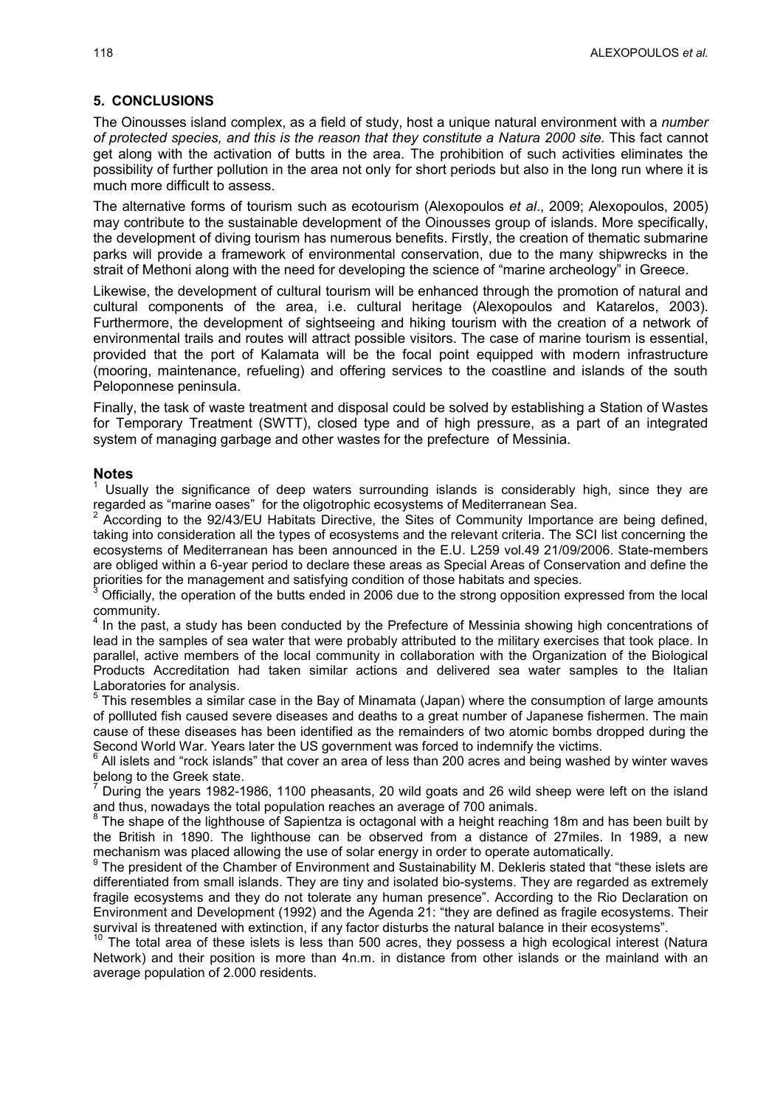### **5. CONCLUSIONS**

The Oinousses island complex, as a field of study, host a unique natural environment with a *number of protected species, and this is the reason that they constitute a Natura 2000 site.* This fact cannot get along with the activation of butts in the area. The prohibition of such activities eliminates the possibility of further pollution in the area not only for short periods but also in the long run where it is much more difficult to assess.

The alternative forms of tourism such as ecotourism (Alexopoulos *et al*., 2009; Alexopoulos, 2005) may contribute to the sustainable development of the Oinousses group of islands. More specifically, the development of diving tourism has numerous benefits. Firstly, the creation of thematic submarine parks will provide a framework of environmental conservation, due to the many shipwrecks in the strait of Methoni along with the need for developing the science of "marine archeology" in Greece.

Likewise, the development of cultural tourism will be enhanced through the promotion of natural and cultural components of the area, i.e. cultural heritage (Alexopoulos and Katarelos, 2003). Furthermore, the development of sightseeing and hiking tourism with the creation of a network of environmental trails and routes will attract possible visitors. The case of marine tourism is essential, provided that the port of Kalamata will be the focal point equipped with modern infrastructure (mooring, maintenance, refueling) and offering services to the coastline and islands of the south Peloponnese peninsula.

Finally, the task of waste treatment and disposal could be solved by establishing a Station of Wastes for Temporary Treatment (SWTT), closed type and of high pressure, as a part of an integrated system of managing garbage and other wastes for the prefecture of Messinia.

#### **Notes**

Usually the significance of deep waters surrounding islands is considerably high, since they are regarded as "marine oases" for the oligotrophic ecosystems of Mediterranean Sea.

 $2$  According to the 92/43/EU Habitats Directive, the Sites of Community Importance are being defined, taking into consideration all the types of ecosystems and the relevant criteria. The SCI list concerning the ecosystems of Mediterranean has been announced in the E.U. L259 vol.49 21/09/2006. State-members are obliged within a 6-year period to declare these areas as Special Areas of Conservation and define the priorities for the management and satisfying condition of those habitats and species.

Officially, the operation of the butts ended in 2006 due to the strong opposition expressed from the local community.

<sup>4</sup> In the past, a study has been conducted by the Prefecture of Messinia showing high concentrations of lead in the samples of sea water that were probably attributed to the military exercises that took place. In parallel, active members of the local community in collaboration with the Organization of the Biological Products Accreditation had taken similar actions and delivered sea water samples to the Italian Laboratories for analysis.

 $<sup>5</sup>$  This resembles a similar case in the Bay of Minamata (Japan) where the consumption of large amounts</sup> of pollluted fish caused severe diseases and deaths to a great number of Japanese fishermen. The main cause of these diseases has been identified as the remainders of two atomic bombs dropped during the Second World War. Years later the US government was forced to indemnify the victims.<br><sup>6</sup> All islate and "rock islands" that cover an area of loss than 200 acros and being washe

All islets and "rock islands" that cover an area of less than 200 acres and being washed by winter waves belong to the Greek state.

 $7$  During the years 1982-1986, 1100 pheasants, 20 wild goats and 26 wild sheep were left on the island and thus, nowadays the total population reaches an average of 700 animals. 8

The shape of the lighthouse of Sapientza is octagonal with a height reaching 18m and has been built by the British in 1890. The lighthouse can be observed from a distance of 27miles. In 1989, a new mechanism was placed allowing the use of solar energy in order to operate automatically.

<sup>9</sup> The president of the Chamber of Environment and Sustainability M. Dekleris stated that "these islets are differentiated from small islands. They are tiny and isolated bio-systems. They are regarded as extremely fragile ecosystems and they do not tolerate any human presence". According to the Rio Declaration on Environment and Development (1992) and the Agenda 21: "they are defined as fragile ecosystems. Their survival is threatened with extinction, if any factor disturbs the natural balance in their ecosystems".

 $10$  The total area of these islets is less than 500 acres, they possess a high ecological interest (Natura Network) and their position is more than 4n.m. in distance from other islands or the mainland with an average population of 2.000 residents.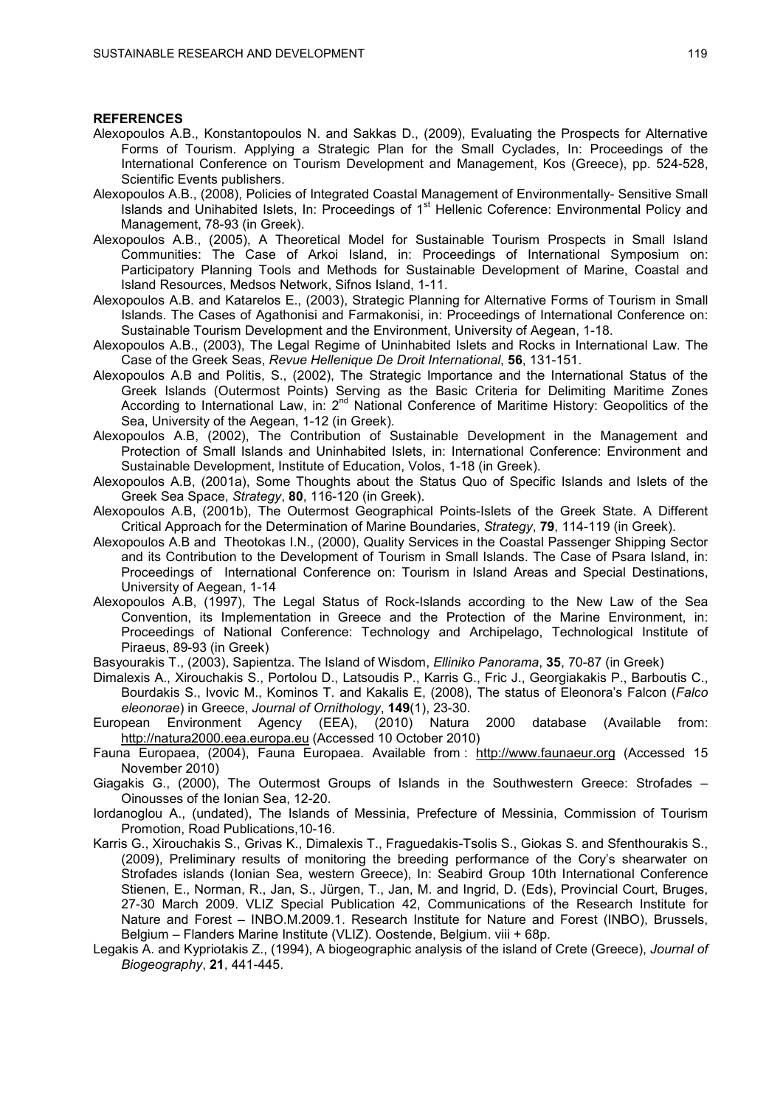#### **REFERENCES**

- Alexopoulos A.B., Konstantopoulos N. and Sakkas D., (2009), Evaluating the Prospects for Alternative Forms of Tourism. Applying a Strategic Plan for the Small Cyclades, In: Proceedings of the International Conference on Tourism Development and Management, Kos (Greece), pp. 524-528, Scientific Events publishers.
- Alexopoulos Α.Β., (2008), Policies of Integrated Coastal Management of Environmentally- Sensitive Small  $I$  Islands and Unihabited Islets, In: Proceedings of 1<sup>st</sup> Hellenic Coference: Environmental Policy and Management, 78-93 (in Greek).
- Alexopoulos A.B., (2005), A Theoretical Model for Sustainable Tourism Prospects in Small Island Communities: The Case of Arkoi Island, in: Proceedings of International Symposium on: Participatory Planning Tools and Methods for Sustainable Development of Marine, Coastal and Island Resources, Medsos Network, Sifnos Island, 1-11.
- Alexopoulos A.B. and Katarelos E., (2003), Strategic Planning for Alternative Forms of Tourism in Small Islands. The Cases of Agathonisi and Farmakonisi, in: Proceedings of International Conference on: Sustainable Tourism Development and the Environment, University of Aegean, 1-18.
- Alexopoulos A.B., (2003), The Legal Regime of Uninhabited Islets and Rocks in International Law. The Case of the Greek Seas, *Revue Hellenique De Droit International*, **56**, 131-151.
- Alexopoulos A.B and Politis, S., (2002), The Strategic Importance and the International Status of the Greek Islands (Outermost Points) Serving as the Basic Criteria for Delimiting Maritime Zones According to International Law, in: 2<sup>nd</sup> National Conference of Maritime History: Geopolitics of the Sea, University of the Aegean, 1-12 (in Greek).
- Alexopoulos A.B, (2002), The Contribution of Sustainable Development in the Management and Protection of Small Islands and Uninhabited Islets, in: International Conference: Environment and Sustainable Development, Institute of Education, Volos, 1-18 (in Greek).
- Alexopoulos A.B, (2001a), Some Thoughts about the Status Quo of Specific Islands and Islets of the Greek Sea Space, *Strategy*, **80**, 116-120 (in Greek).
- Alexopoulos A.B, (2001b), The Outermost Geographical Points-Islets of the Greek State. A Different Critical Approach for the Determination of Marine Boundaries, *Strategy*, **79**, 114-119 (in Greek).
- Alexopoulos A.B and Theotokas I.N., (2000), Quality Services in the Coastal Passenger Shipping Sector and its Contribution to the Development of Tourism in Small Islands. The Case of Psara Island, in: Proceedings of International Conference on: Tourism in Island Areas and Special Destinations, University of Aegean, 1-14
- Alexopoulos A.B, (1997), The Legal Status of Rock-Islands according to the New Law of the Sea Convention, its Implementation in Greece and the Protection of the Marine Environment, in: Proceedings of National Conference: Technology and Archipelago, Technological Institute of Piraeus, 89-93 (in Greek)
- Basyourakis T., (2003), Sapientza. The Island of Wisdom, *Elliniko Panorama*, **35**, 70-87 (in Greek)
- Dimalexis A., Xirouchakis S., Portolou D., Latsoudis P., Karris G., Fric J., Georgiakakis P., Barboutis C., Bourdakis S., Ivovic M., Kominos T. and Kakalis E, (2008), The status of Eleonora's Falcon (*Falco eleonorae*) in Greece, *Journal of Ornithology*, **149**(1), 23-30.
- European Environment Agency (EEA), (2010) Natura 2000 database (Available from: http://natura2000.eea.europa.eu (Accessed 10 October 2010)
- Fauna Europaea, (2004), Fauna Europaea. Available from : http://www.faunaeur.org (Accessed 15 November 2010)
- Giagakis G., (2000), The Outermost Groups of Islands in the Southwestern Greece: Strofades Oinousses of the Ionian Sea, 12-20.
- Iordanoglou A., (undated), The Islands of Messinia, Prefecture of Messinia, Commission of Tourism Promotion, Road Publications,10-16.
- Karris G., Xirouchakis S., Grivas K., Dimalexis T., Fraguedakis-Tsolis S., Giokas S. and Sfenthourakis S., (2009), Preliminary results of monitoring the breeding performance of the Cory's shearwater on Strofades islands (Ionian Sea, western Greece), In: Seabird Group 10th International Conference Stienen, E., Norman, R., Jan, S., Jürgen, T., Jan, M. and Ingrid, D. (Eds), Provincial Court, Bruges, 27-30 March 2009. VLIZ Special Publication 42, Communications of the Research Institute for Nature and Forest – INBO.M.2009.1. Research Institute for Nature and Forest (INBO), Brussels, Belgium – Flanders Marine Institute (VLIZ). Oostende, Belgium. viii + 68p.
- Legakis A. and Kypriotakis Z., (1994), A biogeographic analysis of the island of Crete (Greece), *Journal of Biogeography*, **21**, 441-445.